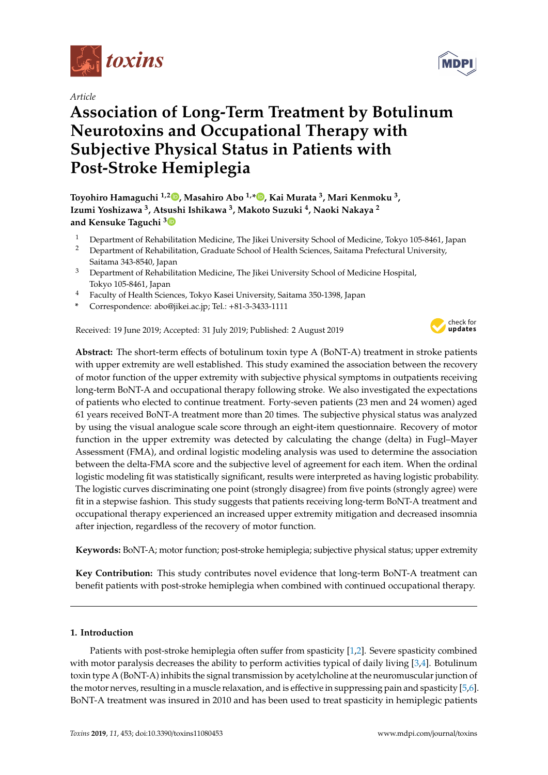

*Article*

# **Association of Long-Term Treatment by Botulinum Neurotoxins and Occupational Therapy with Subjective Physical Status in Patients with Post-Stroke Hemiplegia**

**Toyohiro Hamaguchi 1,2 [,](https://orcid.org/0000-0001-5645-0439) Masahiro Abo 1,[\\*](https://orcid.org/0000-0001-6701-4974) , Kai Murata <sup>3</sup> , Mari Kenmoku <sup>3</sup> , Izumi Yoshizawa <sup>3</sup> , Atsushi Ishikawa <sup>3</sup> , Makoto Suzuki <sup>4</sup> , Naoki Nakaya <sup>2</sup> and Kensuke Taguchi [3](https://orcid.org/0000-0003-2089-0672)**

- <sup>1</sup> Department of Rehabilitation Medicine, The Jikei University School of Medicine, Tokyo 105-8461, Japan<br><sup>2</sup> Department of Pehabilitation Creduate School of Health Sciences, Saitana Profectural University
- <sup>2</sup> Department of Rehabilitation, Graduate School of Health Sciences, Saitama Prefectural University, Saitama 343-8540, Japan
- <sup>3</sup> Department of Rehabilitation Medicine, The Jikei University School of Medicine Hospital, Tokyo 105-8461, Japan
- <sup>4</sup> Faculty of Health Sciences, Tokyo Kasei University, Saitama 350-1398, Japan
- **\*** Correspondence: abo@jikei.ac.jp; Tel.: +81-3-3433-1111

Received: 19 June 2019; Accepted: 31 July 2019; Published: 2 August 2019



**Abstract:** The short-term effects of botulinum toxin type A (BoNT-A) treatment in stroke patients with upper extremity are well established. This study examined the association between the recovery of motor function of the upper extremity with subjective physical symptoms in outpatients receiving long-term BoNT-A and occupational therapy following stroke. We also investigated the expectations of patients who elected to continue treatment. Forty-seven patients (23 men and 24 women) aged 61 years received BoNT-A treatment more than 20 times. The subjective physical status was analyzed by using the visual analogue scale score through an eight-item questionnaire. Recovery of motor function in the upper extremity was detected by calculating the change (delta) in Fugl–Mayer Assessment (FMA), and ordinal logistic modeling analysis was used to determine the association between the delta-FMA score and the subjective level of agreement for each item. When the ordinal logistic modeling fit was statistically significant, results were interpreted as having logistic probability. The logistic curves discriminating one point (strongly disagree) from five points (strongly agree) were fit in a stepwise fashion. This study suggests that patients receiving long-term BoNT-A treatment and occupational therapy experienced an increased upper extremity mitigation and decreased insomnia after injection, regardless of the recovery of motor function.

**Keywords:** BoNT-A; motor function; post-stroke hemiplegia; subjective physical status; upper extremity

**Key Contribution:** This study contributes novel evidence that long-term BoNT-A treatment can benefit patients with post-stroke hemiplegia when combined with continued occupational therapy.

# **1. Introduction**

Patients with post-stroke hemiplegia often suffer from spasticity [\[1,](#page-8-0)[2\]](#page-8-1). Severe spasticity combined with motor paralysis decreases the ability to perform activities typical of daily living [\[3](#page-8-2)[,4\]](#page-8-3). Botulinum toxin type A (BoNT-A) inhibits the signal transmission by acetylcholine at the neuromuscular junction of the motor nerves, resulting in a muscle relaxation, and is effective in suppressing pain and spasticity [\[5](#page-8-4)[,6\]](#page-9-0). BoNT-A treatment was insured in 2010 and has been used to treat spasticity in hemiplegic patients

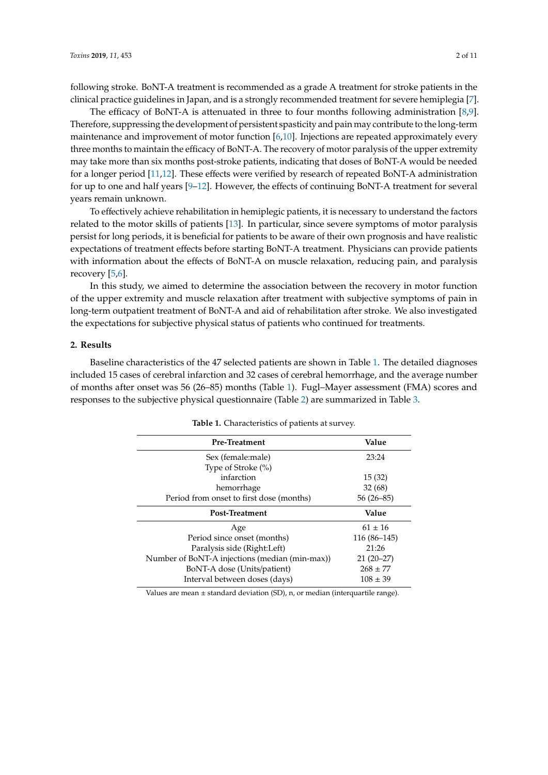following stroke. BoNT-A treatment is recommended as a grade A treatment for stroke patients in the clinical practice guidelines in Japan, and is a strongly recommended treatment for severe hemiplegia [\[7\]](#page-9-1).

The efficacy of BoNT-A is attenuated in three to four months following administration [\[8,](#page-9-2)[9\]](#page-9-3). Therefore, suppressing the development of persistent spasticity and pain may contribute to the long-term maintenance and improvement of motor function  $[6,10]$  $[6,10]$ . Injections are repeated approximately every three months to maintain the efficacy of BoNT-A. The recovery of motor paralysis of the upper extremity may take more than six months post-stroke patients, indicating that doses of BoNT-A would be needed for a longer period [\[11](#page-9-5)[,12\]](#page-9-6). These effects were verified by research of repeated BoNT-A administration for up to one and half years [\[9](#page-9-3)[–12\]](#page-9-6). However, the effects of continuing BoNT-A treatment for several years remain unknown.

To effectively achieve rehabilitation in hemiplegic patients, it is necessary to understand the factors related to the motor skills of patients [\[13\]](#page-9-7). In particular, since severe symptoms of motor paralysis persist for long periods, it is beneficial for patients to be aware of their own prognosis and have realistic expectations of treatment effects before starting BoNT-A treatment. Physicians can provide patients with information about the effects of BoNT-A on muscle relaxation, reducing pain, and paralysis recovery [\[5,](#page-8-4)[6\]](#page-9-0).

In this study, we aimed to determine the association between the recovery in motor function of the upper extremity and muscle relaxation after treatment with subjective symptoms of pain in long-term outpatient treatment of BoNT-A and aid of rehabilitation after stroke. We also investigated the expectations for subjective physical status of patients who continued for treatments.

### **2. Results**

<span id="page-1-0"></span>Baseline characteristics of the 47 selected patients are shown in Table [1.](#page-1-0) The detailed diagnoses included 15 cases of cerebral infarction and 32 cases of cerebral hemorrhage, and the average number of months after onset was 56 (26–85) months (Table [1\)](#page-1-0). Fugl–Mayer assessment (FMA) scores and responses to the subjective physical questionnaire (Table [2\)](#page-2-0) are summarized in Table [3.](#page-2-1)

| Value         |
|---------------|
| 23:24         |
|               |
| 15(32)        |
| 32(68)        |
| $56(26-85)$   |
| Value         |
| $61 \pm 16$   |
| $116(86-145)$ |
| 21:26         |
| $21(20-27)$   |
| $268 \pm 77$  |
| $108 \pm 39$  |
|               |

**Table 1.** Characteristics of patients at survey.

Values are mean  $\pm$  standard deviation (SD), n, or median (interquartile range).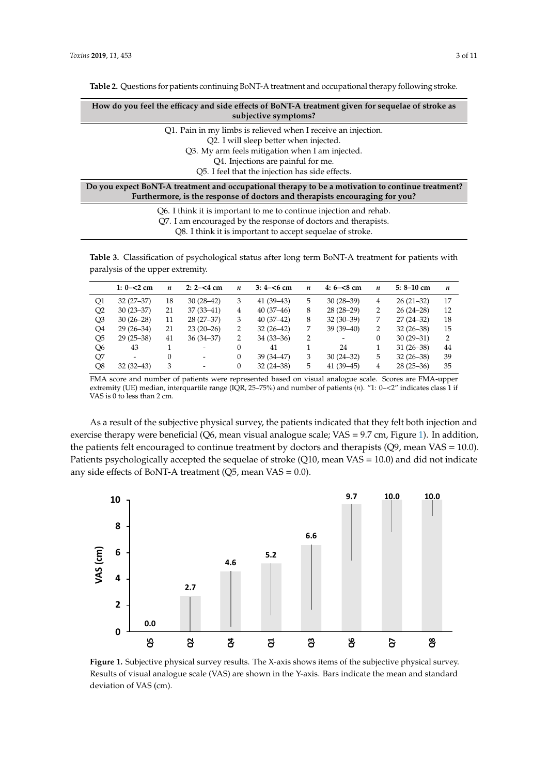<span id="page-2-0"></span>**Table 2.** Questions for patients continuing BoNT-A treatment and occupational therapy following stroke.

| How do you feel the efficacy and side effects of BoNT-A treatment given for sequelae of stroke as<br>subjective symptoms?                                                        |                                                                |  |  |  |  |
|----------------------------------------------------------------------------------------------------------------------------------------------------------------------------------|----------------------------------------------------------------|--|--|--|--|
| Q1. Pain in my limbs is relieved when I receive an injection.                                                                                                                    |                                                                |  |  |  |  |
| Q2. I will sleep better when injected.                                                                                                                                           |                                                                |  |  |  |  |
| Q3. My arm feels mitigation when I am injected.                                                                                                                                  |                                                                |  |  |  |  |
| Q4. Injections are painful for me.                                                                                                                                               |                                                                |  |  |  |  |
|                                                                                                                                                                                  | Q5. I feel that the injection has side effects.                |  |  |  |  |
| Do you expect BoNT-A treatment and occupational therapy to be a motivation to continue treatment?<br>Furthermore, is the response of doctors and therapists encouraging for you? |                                                                |  |  |  |  |
| Q6. I think it is important to me to continue injection and rehab.                                                                                                               |                                                                |  |  |  |  |
|                                                                                                                                                                                  | Q7. I am encouraged by the response of doctors and therapists. |  |  |  |  |
|                                                                                                                                                                                  | Q8. I think it is important to accept sequelae of stroke.      |  |  |  |  |

<span id="page-2-1"></span>**Table 3.** Classification of psychological status after long term BoNT-A treatment for patients with paralysis of the upper extremity. rable 5. Classification of psycho-

|                | $1: 0 - 2$ cm | п        | $2: 2 - < 4$ cm          | $\boldsymbol{n}$ | $3: 4 - 56$ cm | n | 4: $6 - < 8$ cm          | n  | $5: 8-10$ cm | n  |
|----------------|---------------|----------|--------------------------|------------------|----------------|---|--------------------------|----|--------------|----|
| Q1             | $32(27-37)$   | 18       | $30(28-42)$              | 3                | $41(39-43)$    | 5 | $30(28-39)$              | 4  | $26(21-32)$  | 17 |
| Q <sub>2</sub> | $30(23-37)$   | 21       | $37(33-41)$              | 4                | $40(37-46)$    | 8 | $28(28-29)$              | 2  | $26(24-28)$  | 12 |
| Q <sub>3</sub> | $30(26-28)$   | 11       | $28(27-37)$              | 3                | $40(37-42)$    | 8 | $32(30-39)$              |    | $27(24-32)$  | 18 |
| Q4             | $29(26-34)$   | 21       | $23(20-26)$              | 2                | $32(26-42)$    |   | $39(39-40)$              | 2  | $32(26-38)$  | 15 |
| Q5             | $29(25-38)$   | 41       | $36(34-37)$              | 2                | $34(33-36)$    | 2 | $\overline{\phantom{a}}$ | 0  | $30(29-31)$  | 2  |
| Q6             | 43            |          | $\overline{\phantom{0}}$ | 0                | 41             |   | 24                       |    | $31(26-38)$  | 44 |
| Q7             |               | $\theta$ | -                        | 0                | $39(34 - 47)$  | 3 | $30(24-32)$              | 5. | $32(26-38)$  | 39 |
| Q8             | $32(32-43)$   | 3        | $\overline{\phantom{0}}$ | 0                | $32(24-38)$    | 5 | $41(39-45)$              | 4  | $28(25-36)$  | 35 |

FMA score and number of patients were represented based on visual analogue scale. Scores are FMA-upper extremity (UE) median, interquartile range (IQR, 25–75%) and number of patients (*n*). "1: 0–<2" indicates class 1 if<br>VAS is 0 to loss than 2 cm VAS is 0 to less than 2 cm.

As a result of the subjective physical survey, the patients indicated that they felt both injection and exercise therapy were beneficial (Q6, mean visual analogue scale; VAS = 9.7 cm, Figure 1). In addition, the patients felt encouraged to continue treatment by doctors and therapists  $(Q9)$ , mean VAS = 10.0). Patients psychologically accepted the sequelae of stroke (Q10, mean VAS = 10.0) and did not indicate any side effects of BoNT-A treatment ( $Q5$ , mean VAS = 0.0).

<span id="page-2-2"></span>

**Figure 1.** Subjective physical survey results. The X-axis shows items of the subjective physical survey. **Figure 1.** Subjective physical survey results. The X-axis shows items of the subjective physical survey. Results of visual analogue scale (VAS) are shown in the Y-axis. Bars indicate the mean and standard Results of visual analogue scale (VAS) are shown in the Y-axis. Bars indicate the mean and standard deviation of VAS (cm). deviation of VAS (cm).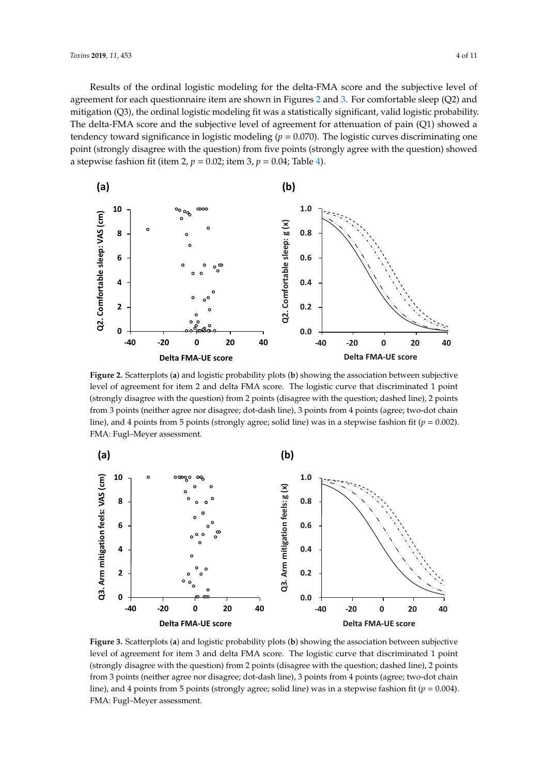Results of the ordinal logistic modeling for the delta-FMA score and the subjective level of agreement for each questionnaire item are shown in Figures [2](#page-3-0) and [3.](#page-3-1) For comfortable sleep (Q2) and mitigation (Q3), the ordinal logistic modeling fit was a statistically significant, valid logistic probability. The delta-FMA score and the subjective level of agreement for attenuation of pain  $(Q1)$  showed a tendency toward significance in logistic modeling ( $p = 0.070$ ). The logistic curves discriminating one Point (strongly disagree with the question) from five points (strongly agree with the question) showed a stepwise fashion fit (item 2*, p* = 0.02; item 3*, p* = 0.04; Table [4\)](#page-4-0). th the question) from five points (strongly agree with the q  $\mu$  logistic modeling for the dena-1  $\mu$ A score and the st **(a) (b)**

<span id="page-3-0"></span>

level of agreement for item 2 and delta FMA score. The logistic curve that discriminated 1 point (strongly disagree with the question) from 2 points (disagree with the question; dashed line), 2 points from 3 points (neither agree nor disagree; dot-dash line), 3 points from 4 points (agree; two-dot chain line), and 4 points from 5 points (strongly agree; solid line) was in a stepwise fashion fit ( $p = 0.002$ ).  $\mathbf{A} \cdot \mathbf{E}$  **Mover** assessments (strongly agrees) was in a step with  $\mathbf{A}$ FMA: Fugl–Meyer assessment*.* FMA: Fugl–Meyer assessment. Figure 2. Scatterplots (a) and logistic probability plots (b) showing the association between subjective gute 2. Scatterpiots (a) and logistic probability plots  $(\nu)$  showing the association between subjective

<span id="page-3-1"></span>

Figure 3. Scatterplots (a) and logistic probability plots (b) showing the association between subjective level of agreement for item 3 and delta FMA score. The logistic curve that discriminated 1 point (strongly disagree with the question) from 2 points (disagree with the question; dashed line), 2 points from 3 points (neither agree nor disagree; dot-dash line), 3 points from 4 points (agree; two-dot chain line), and 4 points from 5 points (strongly agree; solid line) was in a stepwise fashion fit ( $p = 0.004$ ). FMA: Fugl–Meyer assessment.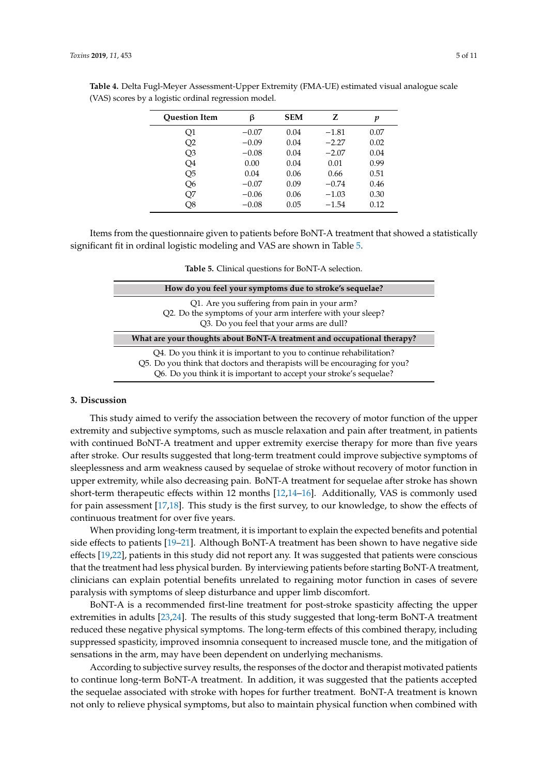| <b>Ouestion Item</b> | ß       | <b>SEM</b> | 7.      | p    |
|----------------------|---------|------------|---------|------|
| O1                   | $-0.07$ | 0.04       | $-1.81$ | 0.07 |
| Q2                   | $-0.09$ | 0.04       | $-2.27$ | 0.02 |
| Q <sub>3</sub>       | $-0.08$ | 0.04       | $-2.07$ | 0.04 |
| O4                   | 0.00    | 0.04       | 0.01    | 0.99 |
| Q <sub>5</sub>       | 0.04    | 0.06       | 0.66    | 0.51 |
| O6                   | $-0.07$ | 0.09       | $-0.74$ | 0.46 |
| Ο7                   | $-0.06$ | 0.06       | $-1.03$ | 0.30 |
| O8                   | $-0.08$ | 0.05       | $-1.54$ | 0.12 |

<span id="page-4-0"></span>**Table 4.** Delta Fugl-Meyer Assessment-Upper Extremity (FMA-UE) estimated visual analogue scale (VAS) scores by a logistic ordinal regression model.

<span id="page-4-1"></span>Items from the questionnaire given to patients before BoNT-A treatment that showed a statistically significant fit in ordinal logistic modeling and VAS are shown in Table [5.](#page-4-1)

| How do you feel your symptoms due to stroke's sequelae?                                                                                                                                                                |  |  |  |  |
|------------------------------------------------------------------------------------------------------------------------------------------------------------------------------------------------------------------------|--|--|--|--|
| Q1. Are you suffering from pain in your arm?<br>Q2. Do the symptoms of your arm interfere with your sleep?<br>Q3. Do you feel that your arms are dull?                                                                 |  |  |  |  |
| What are your thoughts about BoNT-A treatment and occupational therapy?                                                                                                                                                |  |  |  |  |
| Q4. Do you think it is important to you to continue rehabilitation?<br>Q5. Do you think that doctors and therapists will be encouraging for you?<br>Q6. Do you think it is important to accept your stroke's sequelae? |  |  |  |  |

**Table 5.** Clinical questions for BoNT-A selection.

## **3. Discussion**

This study aimed to verify the association between the recovery of motor function of the upper extremity and subjective symptoms, such as muscle relaxation and pain after treatment, in patients with continued BoNT-A treatment and upper extremity exercise therapy for more than five years after stroke. Our results suggested that long-term treatment could improve subjective symptoms of sleeplessness and arm weakness caused by sequelae of stroke without recovery of motor function in upper extremity, while also decreasing pain. BoNT-A treatment for sequelae after stroke has shown short-term therapeutic effects within 12 months [\[12](#page-9-6)[,14–](#page-9-8)[16\]](#page-9-9). Additionally, VAS is commonly used for pain assessment [\[17,](#page-9-10)[18\]](#page-9-11). This study is the first survey, to our knowledge, to show the effects of continuous treatment for over five years.

When providing long-term treatment, it is important to explain the expected benefits and potential side effects to patients [\[19–](#page-9-12)[21\]](#page-9-13). Although BoNT-A treatment has been shown to have negative side effects [\[19,](#page-9-12)[22\]](#page-9-14), patients in this study did not report any. It was suggested that patients were conscious that the treatment had less physical burden. By interviewing patients before starting BoNT-A treatment, clinicians can explain potential benefits unrelated to regaining motor function in cases of severe paralysis with symptoms of sleep disturbance and upper limb discomfort.

BoNT-A is a recommended first-line treatment for post-stroke spasticity affecting the upper extremities in adults [\[23,](#page-9-15)[24\]](#page-10-0). The results of this study suggested that long-term BoNT-A treatment reduced these negative physical symptoms. The long-term effects of this combined therapy, including suppressed spasticity, improved insomnia consequent to increased muscle tone, and the mitigation of sensations in the arm, may have been dependent on underlying mechanisms.

According to subjective survey results, the responses of the doctor and therapist motivated patients to continue long-term BoNT-A treatment. In addition, it was suggested that the patients accepted the sequelae associated with stroke with hopes for further treatment. BoNT-A treatment is known not only to relieve physical symptoms, but also to maintain physical function when combined with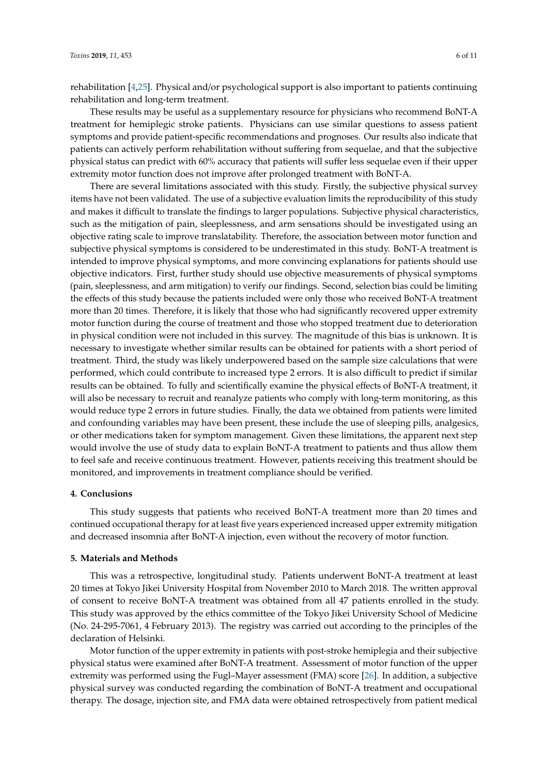rehabilitation [\[4](#page-8-3)[,25\]](#page-10-1). Physical and/or psychological support is also important to patients continuing rehabilitation and long-term treatment.

These results may be useful as a supplementary resource for physicians who recommend BoNT-A treatment for hemiplegic stroke patients. Physicians can use similar questions to assess patient symptoms and provide patient-specific recommendations and prognoses. Our results also indicate that patients can actively perform rehabilitation without suffering from sequelae, and that the subjective physical status can predict with 60% accuracy that patients will suffer less sequelae even if their upper extremity motor function does not improve after prolonged treatment with BoNT-A.

There are several limitations associated with this study. Firstly, the subjective physical survey items have not been validated. The use of a subjective evaluation limits the reproducibility of this study and makes it difficult to translate the findings to larger populations. Subjective physical characteristics, such as the mitigation of pain, sleeplessness, and arm sensations should be investigated using an objective rating scale to improve translatability. Therefore, the association between motor function and subjective physical symptoms is considered to be underestimated in this study. BoNT-A treatment is intended to improve physical symptoms, and more convincing explanations for patients should use objective indicators. First, further study should use objective measurements of physical symptoms (pain, sleeplessness, and arm mitigation) to verify our findings. Second, selection bias could be limiting the effects of this study because the patients included were only those who received BoNT-A treatment more than 20 times. Therefore, it is likely that those who had significantly recovered upper extremity motor function during the course of treatment and those who stopped treatment due to deterioration in physical condition were not included in this survey. The magnitude of this bias is unknown. It is necessary to investigate whether similar results can be obtained for patients with a short period of treatment. Third, the study was likely underpowered based on the sample size calculations that were performed, which could contribute to increased type 2 errors. It is also difficult to predict if similar results can be obtained. To fully and scientifically examine the physical effects of BoNT-A treatment, it will also be necessary to recruit and reanalyze patients who comply with long-term monitoring, as this would reduce type 2 errors in future studies. Finally, the data we obtained from patients were limited and confounding variables may have been present, these include the use of sleeping pills, analgesics, or other medications taken for symptom management. Given these limitations, the apparent next step would involve the use of study data to explain BoNT-A treatment to patients and thus allow them to feel safe and receive continuous treatment. However, patients receiving this treatment should be monitored, and improvements in treatment compliance should be verified.

### **4. Conclusions**

This study suggests that patients who received BoNT-A treatment more than 20 times and continued occupational therapy for at least five years experienced increased upper extremity mitigation and decreased insomnia after BoNT-A injection, even without the recovery of motor function.

## **5. Materials and Methods**

This was a retrospective, longitudinal study. Patients underwent BoNT-A treatment at least 20 times at Tokyo Jikei University Hospital from November 2010 to March 2018. The written approval of consent to receive BoNT-A treatment was obtained from all 47 patients enrolled in the study. This study was approved by the ethics committee of the Tokyo Jikei University School of Medicine (No. 24-295-7061, 4 February 2013). The registry was carried out according to the principles of the declaration of Helsinki.

Motor function of the upper extremity in patients with post-stroke hemiplegia and their subjective physical status were examined after BoNT-A treatment. Assessment of motor function of the upper extremity was performed using the Fugl–Mayer assessment (FMA) score [\[26\]](#page-10-2). In addition, a subjective physical survey was conducted regarding the combination of BoNT-A treatment and occupational therapy. The dosage, injection site, and FMA data were obtained retrospectively from patient medical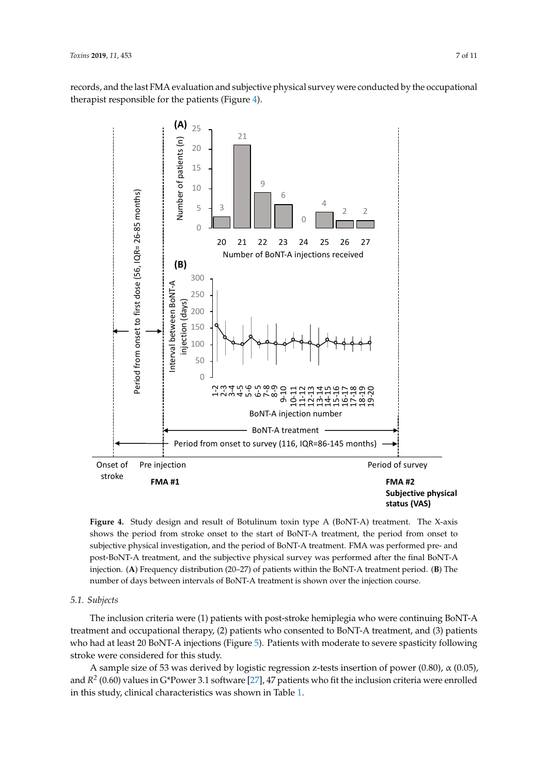records, and the last FMA evaluation and subjective physical survey were conducted by the occupational therapist responsible for the patients (Figure [4\)](#page-6-0).

<span id="page-6-0"></span>

shows the period from stroke onset to the start of BoNT-A treatment, the period from onset to subjective physical investigation, and the period of BoNT-A treatment. FMA was performed pre- and post-BoNT-A treatment, and the subjective physical survey was performed after the final BoNT-A injection. (**A**) Frequency distribution (20–27) of patients within the BoNT-A treatment period. (**B**) The number of days between intervals of BoNT-A treatment is shown over the injection course. **Figure 4.** Study design and result of Botulinum toxin type A (BoNT-A) treatment. The X-axis

number of days between intervals of BoNT-A treatment is shown over the injection course.

# *5.1. Subjects*

*5.1. Subjects*  The inclusion criteria were (1) patients with post-stroke hemiplegia who were continuing BoNT-A treatment and occupational therapy, (2) patients who consented to BoNT-A treatment, and (3) patients who had at least 20 BoNT-A injections (Figure 5). Patients with moderate to severe spasticity following stroke were considered for this study. Patients with moderate to severe space space  $\mathbb{R}^n$ 

A sample size of 53 was derived by logistic regression z-tests insertion of power (0.80),  $\alpha$  (0.05), and  $R^2$  (0.60) values in G\*Power 3.1 software [27], 47 patients who fit the inclusion criteria were enrolled in this study, clinical characteristics was shown in Table 1.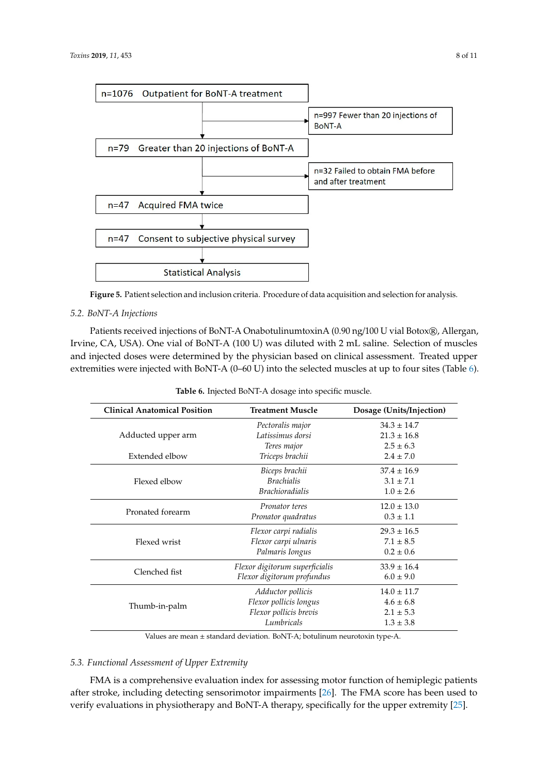<span id="page-7-0"></span>

**Figure 5.** Patient selection and inclusion criteria. Procedure of data acquisition and selection for analysis.

*5.2. BoNT-A Injections*

Patients received injections of BoNT-A OnabotulinumtoxinA (0.90 ng/100 U vial Botox®, Allergan, Irvine, CA, USA). One vial of BoNT-A (100 U) was diluted with 2 mL saline. Selection of muscles and injected doses were determined by the physician based on clinical assessment. Treated upper extremities were injected with BoNT-A (0–60 U) into the selected muscles at up to four sites (Table [6\)](#page-7-1).

<span id="page-7-1"></span>

| <b>Clinical Anatomical Position</b> | <b>Treatment Muscle</b>        | Dosage (Units/Injection) |  |
|-------------------------------------|--------------------------------|--------------------------|--|
|                                     | Pectoralis major               | $34.3 \pm 14.7$          |  |
| Adducted upper arm                  | Latissimus dorsi               | $21.3 \pm 16.8$          |  |
|                                     | Teres major                    | $2.5 \pm 6.3$            |  |
| Extended elbow                      | Triceps brachii                | $2.4 \pm 7.0$            |  |
|                                     | Biceps brachii                 | $37.4 \pm 16.9$          |  |
| Flexed elbow                        | <b>Brachialis</b>              | $3.1 \pm 7.1$            |  |
|                                     | <b>Brachioradialis</b>         | $1.0 \pm 2.6$            |  |
| Pronated forearm                    | Pronator teres                 | $12.0 \pm 13.0$          |  |
|                                     | Pronator quadratus             | $0.3 \pm 1.1$            |  |
|                                     | Flexor carpi radialis          | $29.3 \pm 16.5$          |  |
| Flexed wrist                        | Flexor carpi ulnaris           | $7.1 \pm 8.5$            |  |
|                                     | Palmaris Iongus                | $0.2 \pm 0.6$            |  |
| Clenched fist                       | Flexor digitorum superficialis | $33.9 \pm 16.4$          |  |
|                                     | Flexor digitorum profundus     | $6.0 \pm 9.0$            |  |
|                                     | Adductor pollicis              | $14.0 \pm 11.7$          |  |
|                                     | Flexor pollicis longus         | $4.6 \pm 6.8$            |  |
| Thumb-in-palm                       | Flexor pollicis brevis         | $2.1 \pm 5.3$            |  |
|                                     | Lumbricals                     | $1.3 \pm 3.8$            |  |

**Table 6.** Injected BoNT-A dosage into specific muscle.

Values are mean ± standard deviation. BoNT-A; botulinum neurotoxin type-A.

# *5.3. Functional Assessment of Upper Extremity*

FMA is a comprehensive evaluation index for assessing motor function of hemiplegic patients after stroke, including detecting sensorimotor impairments [\[26\]](#page-10-2). The FMA score has been used to verify evaluations in physiotherapy and BoNT-A therapy, specifically for the upper extremity [\[25\]](#page-10-1).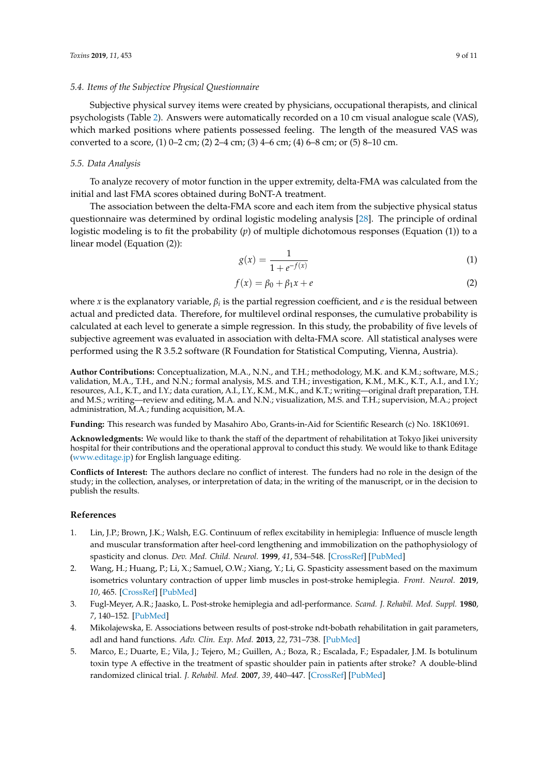## *5.4. Items of the Subjective Physical Questionnaire*

Subjective physical survey items were created by physicians, occupational therapists, and clinical psychologists (Table [2\)](#page-2-0). Answers were automatically recorded on a 10 cm visual analogue scale (VAS), which marked positions where patients possessed feeling. The length of the measured VAS was converted to a score, (1) 0–2 cm; (2) 2–4 cm; (3) 4–6 cm; (4) 6–8 cm; or (5) 8–10 cm.

### *5.5. Data Analysis*

To analyze recovery of motor function in the upper extremity, delta-FMA was calculated from the initial and last FMA scores obtained during BoNT-A treatment.

The association between the delta-FMA score and each item from the subjective physical status questionnaire was determined by ordinal logistic modeling analysis [\[28\]](#page-10-4). The principle of ordinal logistic modeling is to fit the probability (*p*) of multiple dichotomous responses (Equation (1)) to a linear model (Equation (2)):

$$
g(x) = \frac{1}{1 + e^{-f(x)}}\tag{1}
$$

$$
f(x) = \beta_0 + \beta_1 x + e \tag{2}
$$

where *x* is the explanatory variable,  $\beta_i$  is the partial regression coefficient, and *e* is the residual between actual and predicted data. Therefore, for multilevel ordinal responses, the cumulative probability is calculated at each level to generate a simple regression. In this study, the probability of five levels of subjective agreement was evaluated in association with delta-FMA score. All statistical analyses were performed using the R 3.5.2 software (R Foundation for Statistical Computing, Vienna, Austria).

**Author Contributions:** Conceptualization, M.A., N.N., and T.H.; methodology, M.K. and K.M.; software, M.S.; validation, M.A., T.H., and N.N.; formal analysis, M.S. and T.H.; investigation, K.M., M.K., K.T., A.I., and I.Y.; resources, A.I., K.T., and I.Y.; data curation, A.I., I.Y., K.M., M.K., and K.T.; writing—original draft preparation, T.H. and M.S.; writing—review and editing, M.A. and N.N.; visualization, M.S. and T.H.; supervision, M.A.; project administration, M.A.; funding acquisition, M.A.

**Funding:** This research was funded by Masahiro Abo, Grants-in-Aid for Scientific Research (c) No. 18K10691.

**Acknowledgments:** We would like to thank the staff of the department of rehabilitation at Tokyo Jikei university hospital for their contributions and the operational approval to conduct this study. We would like to thank Editage [\(www.editage.jp\)](www.editage.jp) for English language editing.

**Conflicts of Interest:** The authors declare no conflict of interest. The funders had no role in the design of the study; in the collection, analyses, or interpretation of data; in the writing of the manuscript, or in the decision to publish the results.

### **References**

- <span id="page-8-0"></span>1. Lin, J.P.; Brown, J.K.; Walsh, E.G. Continuum of reflex excitability in hemiplegia: Influence of muscle length and muscular transformation after heel-cord lengthening and immobilization on the pathophysiology of spasticity and clonus. *Dev. Med. Child. Neurol.* **1999**, *41*, 534–548. [\[CrossRef\]](http://dx.doi.org/10.1017/S0012162299001152) [\[PubMed\]](http://www.ncbi.nlm.nih.gov/pubmed/10479042)
- <span id="page-8-1"></span>2. Wang, H.; Huang, P.; Li, X.; Samuel, O.W.; Xiang, Y.; Li, G. Spasticity assessment based on the maximum isometrics voluntary contraction of upper limb muscles in post-stroke hemiplegia. *Front. Neurol.* **2019**, *10*, 465. [\[CrossRef\]](http://dx.doi.org/10.3389/fneur.2019.00465) [\[PubMed\]](http://www.ncbi.nlm.nih.gov/pubmed/31133969)
- <span id="page-8-2"></span>3. Fugl-Meyer, A.R.; Jaasko, L. Post-stroke hemiplegia and adl-performance. *Scand. J. Rehabil. Med. Suppl.* **1980**, *7*, 140–152. [\[PubMed\]](http://www.ncbi.nlm.nih.gov/pubmed/6932722)
- <span id="page-8-3"></span>4. Mikolajewska, E. Associations between results of post-stroke ndt-bobath rehabilitation in gait parameters, adl and hand functions. *Adv. Clin. Exp. Med.* **2013**, *22*, 731–738. [\[PubMed\]](http://www.ncbi.nlm.nih.gov/pubmed/24285459)
- <span id="page-8-4"></span>5. Marco, E.; Duarte, E.; Vila, J.; Tejero, M.; Guillen, A.; Boza, R.; Escalada, F.; Espadaler, J.M. Is botulinum toxin type A effective in the treatment of spastic shoulder pain in patients after stroke? A double-blind randomized clinical trial. *J. Rehabil. Med.* **2007**, *39*, 440–447. [\[CrossRef\]](http://dx.doi.org/10.2340/16501977-0066) [\[PubMed\]](http://www.ncbi.nlm.nih.gov/pubmed/17624477)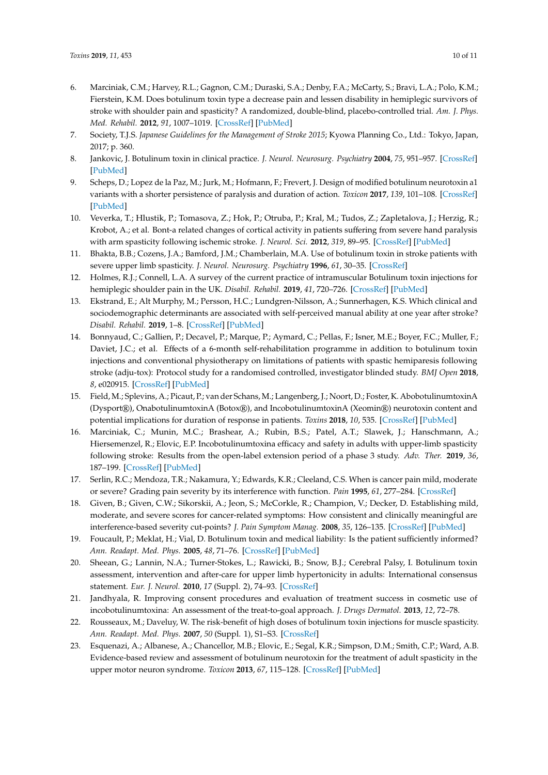- <span id="page-9-0"></span>6. Marciniak, C.M.; Harvey, R.L.; Gagnon, C.M.; Duraski, S.A.; Denby, F.A.; McCarty, S.; Bravi, L.A.; Polo, K.M.; Fierstein, K.M. Does botulinum toxin type a decrease pain and lessen disability in hemiplegic survivors of stroke with shoulder pain and spasticity? A randomized, double-blind, placebo-controlled trial. *Am. J. Phys. Med. Rehabil.* **2012**, *91*, 1007–1019. [\[CrossRef\]](http://dx.doi.org/10.1097/PHM.0b013e31826ecb02) [\[PubMed\]](http://www.ncbi.nlm.nih.gov/pubmed/23064478)
- <span id="page-9-1"></span>7. Society, T.J.S. *Japanese Guidelines for the Management of Stroke 2015*; Kyowa Planning Co., Ltd.: Tokyo, Japan, 2017; p. 360.
- <span id="page-9-2"></span>8. Jankovic, J. Botulinum toxin in clinical practice. *J. Neurol. Neurosurg. Psychiatry* **2004**, *75*, 951–957. [\[CrossRef\]](http://dx.doi.org/10.1136/jnnp.2003.034702) [\[PubMed\]](http://www.ncbi.nlm.nih.gov/pubmed/15201348)
- <span id="page-9-3"></span>9. Scheps, D.; Lopez de la Paz, M.; Jurk, M.; Hofmann, F.; Frevert, J. Design of modified botulinum neurotoxin a1 variants with a shorter persistence of paralysis and duration of action. *Toxicon* **2017**, *139*, 101–108. [\[CrossRef\]](http://dx.doi.org/10.1016/j.toxicon.2017.09.006) [\[PubMed\]](http://www.ncbi.nlm.nih.gov/pubmed/28918229)
- <span id="page-9-4"></span>10. Veverka, T.; Hlustik, P.; Tomasova, Z.; Hok, P.; Otruba, P.; Kral, M.; Tudos, Z.; Zapletalova, J.; Herzig, R.; Krobot, A.; et al. Bont-a related changes of cortical activity in patients suffering from severe hand paralysis with arm spasticity following ischemic stroke. *J. Neurol. Sci.* **2012**, *319*, 89–95. [\[CrossRef\]](http://dx.doi.org/10.1016/j.jns.2012.05.008) [\[PubMed\]](http://www.ncbi.nlm.nih.gov/pubmed/22687958)
- <span id="page-9-5"></span>11. Bhakta, B.B.; Cozens, J.A.; Bamford, J.M.; Chamberlain, M.A. Use of botulinum toxin in stroke patients with severe upper limb spasticity. *J. Neurol. Neurosurg. Psychiatry* **1996**, *61*, 30–35. [\[CrossRef\]](http://dx.doi.org/10.1136/jnnp.61.1.30)
- <span id="page-9-6"></span>12. Holmes, R.J.; Connell, L.A. A survey of the current practice of intramuscular Botulinum toxin injections for hemiplegic shoulder pain in the UK. *Disabil. Rehabil.* **2019**, *41*, 720–726. [\[CrossRef\]](http://dx.doi.org/10.1080/09638288.2017.1400596) [\[PubMed\]](http://www.ncbi.nlm.nih.gov/pubmed/29126361)
- <span id="page-9-7"></span>13. Ekstrand, E.; Alt Murphy, M.; Persson, H.C.; Lundgren-Nilsson, A.; Sunnerhagen, K.S. Which clinical and sociodemographic determinants are associated with self-perceived manual ability at one year after stroke? *Disabil. Rehabil.* **2019**, 1–8. [\[CrossRef\]](http://dx.doi.org/10.1080/09638288.2018.1557265) [\[PubMed\]](http://www.ncbi.nlm.nih.gov/pubmed/30686071)
- <span id="page-9-8"></span>14. Bonnyaud, C.; Gallien, P.; Decavel, P.; Marque, P.; Aymard, C.; Pellas, F.; Isner, M.E.; Boyer, F.C.; Muller, F.; Daviet, J.C.; et al. Effects of a 6-month self-rehabilitation programme in addition to botulinum toxin injections and conventional physiotherapy on limitations of patients with spastic hemiparesis following stroke (adju-tox): Protocol study for a randomised controlled, investigator blinded study. *BMJ Open* **2018**, *8*, e020915. [\[CrossRef\]](http://dx.doi.org/10.1136/bmjopen-2017-020915) [\[PubMed\]](http://www.ncbi.nlm.nih.gov/pubmed/30166290)
- 15. Field, M.; Splevins, A.; Picaut, P.; van der Schans, M.; Langenberg, J.; Noort, D.; Foster, K. AbobotulinumtoxinA (Dysport®), OnabotulinumtoxinA (Botox®), and IncobotulinumtoxinA (Xeomin®) neurotoxin content and potential implications for duration of response in patients. *Toxins* **2018**, *10*, 535. [\[CrossRef\]](http://dx.doi.org/10.3390/toxins10120535) [\[PubMed\]](http://www.ncbi.nlm.nih.gov/pubmed/30551641)
- <span id="page-9-9"></span>16. Marciniak, C.; Munin, M.C.; Brashear, A.; Rubin, B.S.; Patel, A.T.; Slawek, J.; Hanschmann, A.; Hiersemenzel, R.; Elovic, E.P. Incobotulinumtoxina efficacy and safety in adults with upper-limb spasticity following stroke: Results from the open-label extension period of a phase 3 study. *Adv. Ther.* **2019**, *36*, 187–199. [\[CrossRef\]](http://dx.doi.org/10.1007/s12325-018-0833-7) [\[PubMed\]](http://www.ncbi.nlm.nih.gov/pubmed/30484117)
- <span id="page-9-10"></span>17. Serlin, R.C.; Mendoza, T.R.; Nakamura, Y.; Edwards, K.R.; Cleeland, C.S. When is cancer pain mild, moderate or severe? Grading pain severity by its interference with function. *Pain* **1995**, *61*, 277–284. [\[CrossRef\]](http://dx.doi.org/10.1016/0304-3959(94)00178-H)
- <span id="page-9-11"></span>18. Given, B.; Given, C.W.; Sikorskii, A.; Jeon, S.; McCorkle, R.; Champion, V.; Decker, D. Establishing mild, moderate, and severe scores for cancer-related symptoms: How consistent and clinically meaningful are interference-based severity cut-points? *J. Pain Symptom Manag.* **2008**, *35*, 126–135. [\[CrossRef\]](http://dx.doi.org/10.1016/j.jpainsymman.2007.03.012) [\[PubMed\]](http://www.ncbi.nlm.nih.gov/pubmed/18158231)
- <span id="page-9-12"></span>19. Foucault, P.; Meklat, H.; Vial, D. Botulinum toxin and medical liability: Is the patient sufficiently informed? *Ann. Readapt. Med. Phys.* **2005**, *48*, 71–76. [\[CrossRef\]](http://dx.doi.org/10.1016/j.annrmp.2004.08.006) [\[PubMed\]](http://www.ncbi.nlm.nih.gov/pubmed/15748771)
- 20. Sheean, G.; Lannin, N.A.; Turner-Stokes, L.; Rawicki, B.; Snow, B.J.; Cerebral Palsy, I. Botulinum toxin assessment, intervention and after-care for upper limb hypertonicity in adults: International consensus statement. *Eur. J. Neurol.* **2010**, *17* (Suppl. 2), 74–93. [\[CrossRef\]](http://dx.doi.org/10.1111/j.1468-1331.2010.03129.x)
- <span id="page-9-13"></span>21. Jandhyala, R. Improving consent procedures and evaluation of treatment success in cosmetic use of incobotulinumtoxina: An assessment of the treat-to-goal approach. *J. Drugs Dermatol.* **2013**, *12*, 72–78.
- <span id="page-9-14"></span>22. Rousseaux, M.; Daveluy, W. The risk-benefit of high doses of botulinum toxin injections for muscle spasticity. *Ann. Readapt. Med. Phys.* **2007**, *50* (Suppl. 1), S1–S3. [\[CrossRef\]](http://dx.doi.org/10.1016/S0168-6054(07)80001-8)
- <span id="page-9-15"></span>23. Esquenazi, A.; Albanese, A.; Chancellor, M.B.; Elovic, E.; Segal, K.R.; Simpson, D.M.; Smith, C.P.; Ward, A.B. Evidence-based review and assessment of botulinum neurotoxin for the treatment of adult spasticity in the upper motor neuron syndrome. *Toxicon* **2013**, *67*, 115–128. [\[CrossRef\]](http://dx.doi.org/10.1016/j.toxicon.2012.11.025) [\[PubMed\]](http://www.ncbi.nlm.nih.gov/pubmed/23220492)